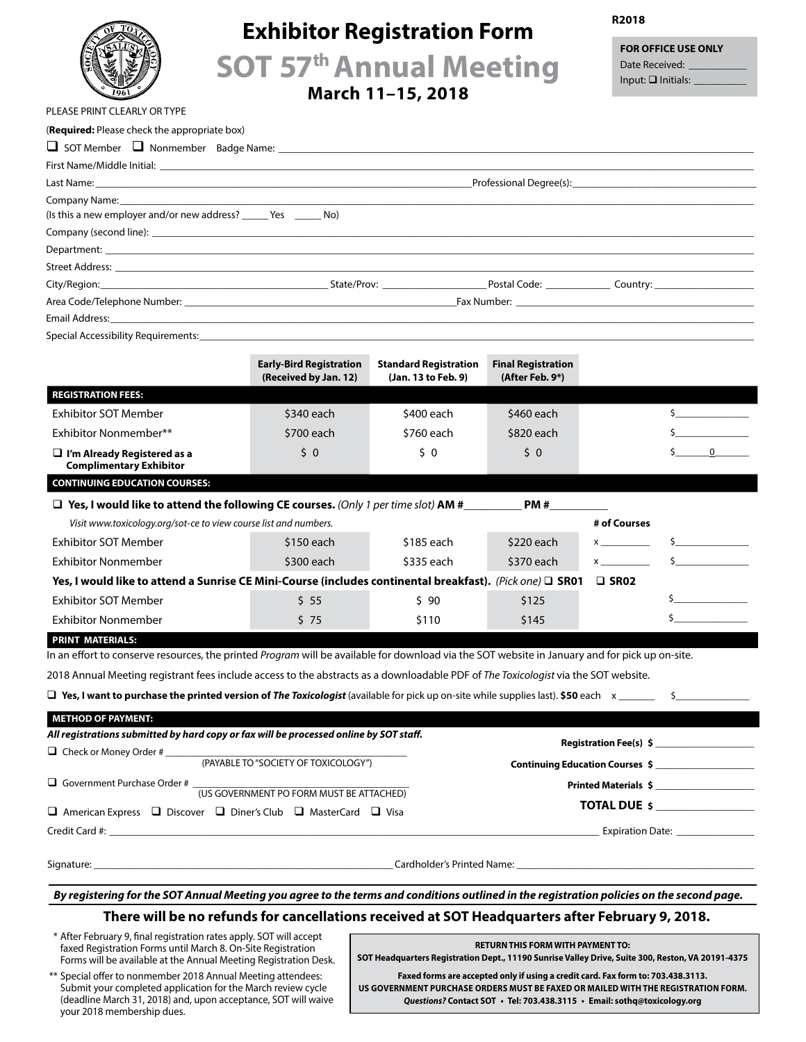

# **Exhibitor Registration Form**

**R2018**

**FOR OFFICE USE ONLY** Date Received: Input:  $\Box$  Initials:

**SOT 57th Annual Meeting**

**March 11–15, 2018**

| PLEASE PRINT CLEARLY OR TYPE                                                                                                                                                                                                       |                                                                                                 |                                                                                                                       |                                                                                                                                                                                                                               |                |                                                       |  |
|------------------------------------------------------------------------------------------------------------------------------------------------------------------------------------------------------------------------------------|-------------------------------------------------------------------------------------------------|-----------------------------------------------------------------------------------------------------------------------|-------------------------------------------------------------------------------------------------------------------------------------------------------------------------------------------------------------------------------|----------------|-------------------------------------------------------|--|
| (Required: Please check the appropriate box)                                                                                                                                                                                       |                                                                                                 |                                                                                                                       |                                                                                                                                                                                                                               |                |                                                       |  |
|                                                                                                                                                                                                                                    |                                                                                                 |                                                                                                                       |                                                                                                                                                                                                                               |                |                                                       |  |
|                                                                                                                                                                                                                                    |                                                                                                 |                                                                                                                       |                                                                                                                                                                                                                               |                |                                                       |  |
|                                                                                                                                                                                                                                    |                                                                                                 |                                                                                                                       | Professional Degree(s): Note and the contract of the contract of the contract of the contract of the contract of the contract of the contract of the contract of the contract of the contract of the contract of the contract |                |                                                       |  |
|                                                                                                                                                                                                                                    |                                                                                                 |                                                                                                                       |                                                                                                                                                                                                                               |                |                                                       |  |
| (Is this a new employer and/or new address? ______ Yes _______ No)                                                                                                                                                                 |                                                                                                 |                                                                                                                       |                                                                                                                                                                                                                               |                |                                                       |  |
| Company (second line): <b>Example 2018</b> and 2019 and 2019 and 2019 and 2019 and 2019 and 2019 and 2019 and 2019 and 2019 and 2019 and 2019 and 2019 and 2019 and 2019 and 2019 and 2019 and 2019 and 2019 and 2019 and 2019 and |                                                                                                 |                                                                                                                       |                                                                                                                                                                                                                               |                |                                                       |  |
|                                                                                                                                                                                                                                    |                                                                                                 |                                                                                                                       |                                                                                                                                                                                                                               |                |                                                       |  |
|                                                                                                                                                                                                                                    |                                                                                                 |                                                                                                                       |                                                                                                                                                                                                                               |                |                                                       |  |
|                                                                                                                                                                                                                                    |                                                                                                 |                                                                                                                       |                                                                                                                                                                                                                               |                |                                                       |  |
|                                                                                                                                                                                                                                    |                                                                                                 |                                                                                                                       |                                                                                                                                                                                                                               |                |                                                       |  |
|                                                                                                                                                                                                                                    |                                                                                                 |                                                                                                                       |                                                                                                                                                                                                                               |                |                                                       |  |
| Special Accessibility Requirements: Note and the second contract of the second contract of the second contract of the second contract of the second contract of the second contract of the second contract of the second contr     |                                                                                                 |                                                                                                                       |                                                                                                                                                                                                                               |                |                                                       |  |
|                                                                                                                                                                                                                                    | <b>Early-Bird Registration</b><br>(Received by Jan. 12)                                         | <b>Standard Registration</b><br>(Jan. 13 to Feb. 9)                                                                   | <b>Final Registration</b><br>(After Feb. 9*)                                                                                                                                                                                  |                |                                                       |  |
| <b>REGISTRATION FEES:</b>                                                                                                                                                                                                          |                                                                                                 |                                                                                                                       |                                                                                                                                                                                                                               |                |                                                       |  |
| <b>Exhibitor SOT Member</b>                                                                                                                                                                                                        | \$340 each                                                                                      | \$400 each                                                                                                            | \$460 each                                                                                                                                                                                                                    |                | $\frac{1}{2}$                                         |  |
| Exhibitor Nonmember**                                                                                                                                                                                                              | \$700 each                                                                                      | \$760 each                                                                                                            | \$820 each                                                                                                                                                                                                                    |                | $\frac{1}{\sqrt{2}}$                                  |  |
| $\Box$ I'm Already Registered as a<br><b>Complimentary Exhibitor</b>                                                                                                                                                               | 50                                                                                              | \$ 0                                                                                                                  | 50                                                                                                                                                                                                                            |                | $\overline{\phantom{a}}$ 0                            |  |
| <b>CONTINUING EDUCATION COURSES:</b>                                                                                                                                                                                               |                                                                                                 |                                                                                                                       |                                                                                                                                                                                                                               |                |                                                       |  |
|                                                                                                                                                                                                                                    |                                                                                                 |                                                                                                                       |                                                                                                                                                                                                                               |                |                                                       |  |
| Visit www.toxicology.org/sot-ce to view course list and numbers.                                                                                                                                                                   |                                                                                                 |                                                                                                                       |                                                                                                                                                                                                                               | # of Courses   |                                                       |  |
| <b>Exhibitor SOT Member</b>                                                                                                                                                                                                        | \$150 each                                                                                      | \$185 each                                                                                                            | $$220$ each                                                                                                                                                                                                                   | $x \sim$       | $\sim$                                                |  |
| Exhibitor Nonmember                                                                                                                                                                                                                | \$300 each                                                                                      | \$335 each                                                                                                            | \$370 each                                                                                                                                                                                                                    |                | $\ddot{\bm{\mathsf{s}}}$ and $\ddot{\bm{\mathsf{s}}}$ |  |
| Yes, I would like to attend a Sunrise CE Mini-Course (includes continental breakfast). (Pick one) □ SR01                                                                                                                           |                                                                                                 |                                                                                                                       |                                                                                                                                                                                                                               | $\square$ SR02 |                                                       |  |
| <b>Exhibitor SOT Member</b>                                                                                                                                                                                                        | $5\,55$                                                                                         | \$ 90                                                                                                                 | \$125                                                                                                                                                                                                                         |                | $\frac{1}{2}$                                         |  |
| <b>Exhibitor Nonmember</b>                                                                                                                                                                                                         | \$75                                                                                            | \$110                                                                                                                 | \$145                                                                                                                                                                                                                         |                | $\sim$                                                |  |
|                                                                                                                                                                                                                                    |                                                                                                 |                                                                                                                       |                                                                                                                                                                                                                               |                |                                                       |  |
| <b>PRINT MATERIALS:</b><br>In an effort to conserve resources, the printed Program will be available for download via the SOT website in January and for pick up on-site.                                                          |                                                                                                 |                                                                                                                       |                                                                                                                                                                                                                               |                |                                                       |  |
| 2018 Annual Meeting registrant fees include access to the abstracts as a downloadable PDF of The Toxicologist via the SOT website.                                                                                                 |                                                                                                 |                                                                                                                       |                                                                                                                                                                                                                               |                |                                                       |  |
|                                                                                                                                                                                                                                    |                                                                                                 |                                                                                                                       |                                                                                                                                                                                                                               |                |                                                       |  |
| $\Box$ Yes, I want to purchase the printed version of The Toxicologist (available for pick up on-site while supplies last). \$50 each $x$                                                                                          |                                                                                                 |                                                                                                                       |                                                                                                                                                                                                                               |                |                                                       |  |
| <b>METHOD OF PAYMENT:</b>                                                                                                                                                                                                          |                                                                                                 |                                                                                                                       |                                                                                                                                                                                                                               |                |                                                       |  |
| All registrations submitted by hard copy or fax will be processed online by SOT staff.                                                                                                                                             |                                                                                                 |                                                                                                                       |                                                                                                                                                                                                                               |                |                                                       |  |
| □ Check or Money Order # (PAYABLE TO "SOCIETY OF TOXICOLOGY")                                                                                                                                                                      |                                                                                                 |                                                                                                                       | Continuing Education Courses \$                                                                                                                                                                                               |                |                                                       |  |
|                                                                                                                                                                                                                                    |                                                                                                 |                                                                                                                       |                                                                                                                                                                                                                               |                |                                                       |  |
| $\Box$ Government Purchase Order # $\frac{1}{(US \text{ GOVERMMENT PO FORM MUST BE ATTACHED)}$                                                                                                                                     |                                                                                                 |                                                                                                                       | Printed Materials \$                                                                                                                                                                                                          |                |                                                       |  |
| $\Box$ American Express $\Box$ Discover $\Box$ Diner's Club $\Box$ MasterCard $\Box$ Visa                                                                                                                                          |                                                                                                 |                                                                                                                       | <b>TOTAL DUE \$</b>                                                                                                                                                                                                           |                |                                                       |  |
|                                                                                                                                                                                                                                    |                                                                                                 |                                                                                                                       |                                                                                                                                                                                                                               |                | Expiration Date:                                      |  |
|                                                                                                                                                                                                                                    |                                                                                                 |                                                                                                                       |                                                                                                                                                                                                                               |                |                                                       |  |
| By registering for the SOT Annual Meeting you agree to the terms and conditions outlined in the registration policies on the second page.                                                                                          |                                                                                                 |                                                                                                                       |                                                                                                                                                                                                                               |                |                                                       |  |
|                                                                                                                                                                                                                                    | There will be no refunds for cancellations received at SOT Headquarters after February 9, 2018. |                                                                                                                       |                                                                                                                                                                                                                               |                |                                                       |  |
| * After February 9, final registration rates apply. SOT will accept                                                                                                                                                                |                                                                                                 | <u>a sa mga sangang ng mga sangang ng mga sangang ng mga sangang ng mga sangang ng mga sangang ng mga sangang ng </u> |                                                                                                                                                                                                                               |                |                                                       |  |
|                                                                                                                                                                                                                                    |                                                                                                 |                                                                                                                       |                                                                                                                                                                                                                               |                |                                                       |  |

faxed Registration Forms until March 8. On-Site Registration Forms will be available at the Annual Meeting Registration Desk.

\*\* Special offer to nonmember 2018 Annual Meeting attendees: Submit your completed application for the March review cycle (deadline March 31, 2018) and, upon acceptance, SOT will waive your 2018 membership dues.

**RETURN THIS FORM WITH PAYMENT TO:**

**SOT Headquarters Registration Dept., 11190 Sunrise Valley Drive, Suite 300, Reston, VA 20191-4375**

**Faxed forms are accepted only if using a credit card. Fax form to: 703.438.3113. US GOVERNMENT PURCHASE ORDERS MUST BE FAXED OR MAILED WITH THE REGISTRATION FORM.** *Questions?* **Contact SOT • Tel: 703.438.3115 • Email: sothq@toxicology.org**